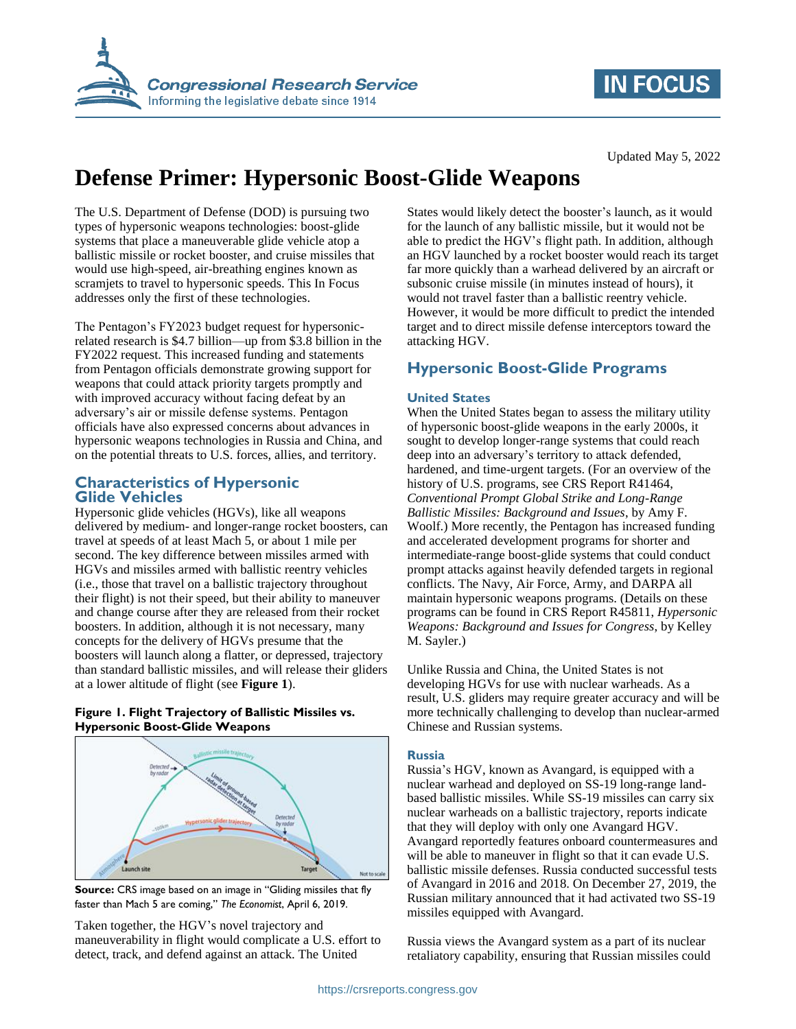

# **IN FOCUS**

Updated May 5, 2022

# **Defense Primer: Hypersonic Boost-Glide Weapons**

The U.S. Department of Defense (DOD) is pursuing two types of hypersonic weapons technologies: boost-glide systems that place a maneuverable glide vehicle atop a ballistic missile or rocket booster, and cruise missiles that would use high-speed, air-breathing engines known as scramjets to travel to hypersonic speeds. This In Focus addresses only the first of these technologies.

The Pentagon's FY2023 budget request for hypersonicrelated research is \$4.7 billion—up from \$3.8 billion in the FY2022 request. This increased funding and statements from Pentagon officials demonstrate growing support for weapons that could attack priority targets promptly and with improved accuracy without facing defeat by an adversary's air or missile defense systems. Pentagon officials have also expressed concerns about advances in hypersonic weapons technologies in Russia and China, and on the potential threats to U.S. forces, allies, and territory.

## **Characteristics of Hypersonic Glide Vehicles**

Hypersonic glide vehicles (HGVs), like all weapons delivered by medium- and longer-range rocket boosters, can travel at speeds of at least Mach 5, or about 1 mile per second. The key difference between missiles armed with HGVs and missiles armed with ballistic reentry vehicles (i.e., those that travel on a ballistic trajectory throughout their flight) is not their speed, but their ability to maneuver and change course after they are released from their rocket boosters. In addition, although it is not necessary, many concepts for the delivery of HGVs presume that the boosters will launch along a flatter, or depressed, trajectory than standard ballistic missiles, and will release their gliders at a lower altitude of flight (see **[Figure 1](#page-0-0)**).

#### <span id="page-0-0"></span>**Figure 1. Flight Trajectory of Ballistic Missiles vs. Hypersonic Boost-Glide Weapons**



**Source:** CRS image based on an image in "Gliding missiles that fly faster than Mach 5 are coming," *The Economist*, April 6, 2019.

Taken together, the HGV's novel trajectory and maneuverability in flight would complicate a U.S. effort to detect, track, and defend against an attack. The United

States would likely detect the booster's launch, as it would for the launch of any ballistic missile, but it would not be able to predict the HGV's flight path. In addition, although an HGV launched by a rocket booster would reach its target far more quickly than a warhead delivered by an aircraft or subsonic cruise missile (in minutes instead of hours), it would not travel faster than a ballistic reentry vehicle. However, it would be more difficult to predict the intended target and to direct missile defense interceptors toward the attacking HGV.

# **Hypersonic Boost-Glide Programs**

#### **United States**

When the United States began to assess the military utility of hypersonic boost-glide weapons in the early 2000s, it sought to develop longer-range systems that could reach deep into an adversary's territory to attack defended, hardened, and time-urgent targets. (For an overview of the history of U.S. programs, see CRS Report R41464, *Conventional Prompt Global Strike and Long-Range Ballistic Missiles: Background and Issues*, by Amy F. Woolf.) More recently, the Pentagon has increased funding and accelerated development programs for shorter and intermediate-range boost-glide systems that could conduct prompt attacks against heavily defended targets in regional conflicts. The Navy, Air Force, Army, and DARPA all maintain hypersonic weapons programs. (Details on these programs can be found in CRS Report R45811, *Hypersonic Weapons: Background and Issues for Congress*, by Kelley M. Sayler.)

Unlike Russia and China, the United States is not developing HGVs for use with nuclear warheads. As a result, U.S. gliders may require greater accuracy and will be more technically challenging to develop than nuclear-armed Chinese and Russian systems.

#### **Russia**

Russia's HGV, known as Avangard, is equipped with a nuclear warhead and deployed on SS-19 long-range landbased ballistic missiles. While SS-19 missiles can carry six nuclear warheads on a ballistic trajectory, reports indicate that they will deploy with only one Avangard HGV. Avangard reportedly features onboard countermeasures and will be able to maneuver in flight so that it can evade U.S. ballistic missile defenses. Russia conducted successful tests of Avangard in 2016 and 2018. On December 27, 2019, the Russian military announced that it had activated two SS-19 missiles equipped with Avangard.

Russia views the Avangard system as a part of its nuclear retaliatory capability, ensuring that Russian missiles could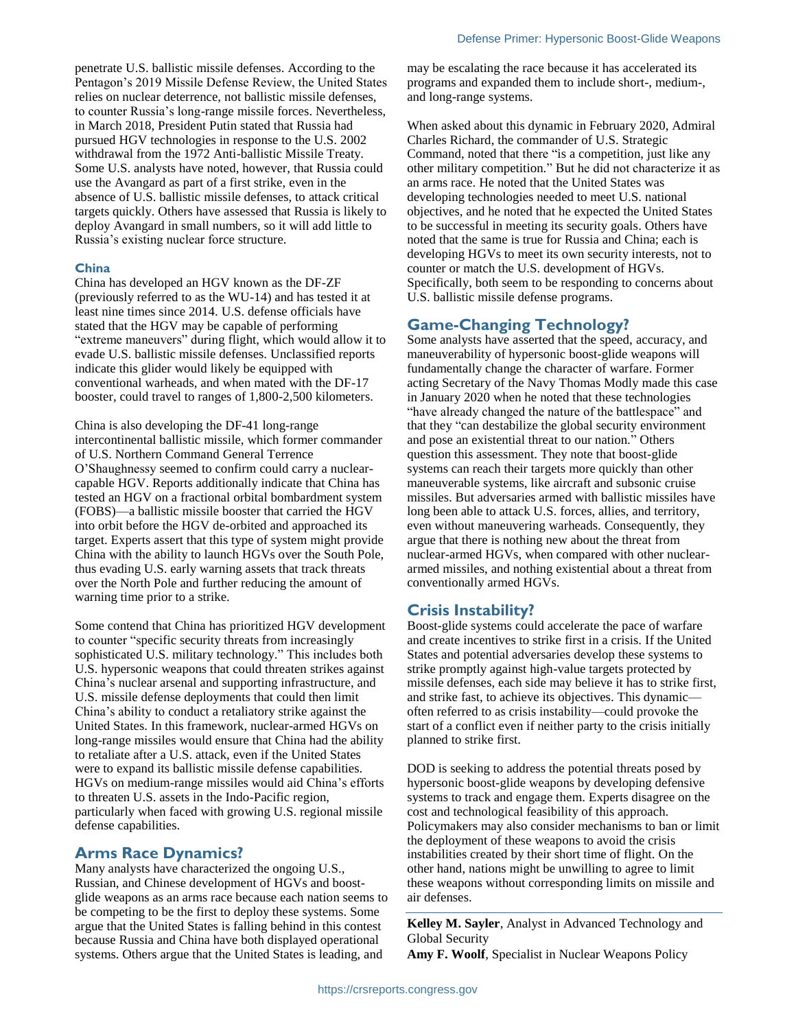penetrate U.S. ballistic missile defenses. According to the Pentagon's 2019 Missile Defense Review, the United States relies on nuclear deterrence, not ballistic missile defenses, to counter Russia's long-range missile forces. Nevertheless, in March 2018, President Putin stated that Russia had pursued HGV technologies in response to the U.S. 2002 withdrawal from the 1972 Anti-ballistic Missile Treaty. Some U.S. analysts have noted, however, that Russia could use the Avangard as part of a first strike, even in the absence of U.S. ballistic missile defenses, to attack critical targets quickly. Others have assessed that Russia is likely to deploy Avangard in small numbers, so it will add little to Russia's existing nuclear force structure.

#### **China**

China has developed an HGV known as the DF-ZF (previously referred to as the WU-14) and has tested it at least nine times since 2014. U.S. defense officials have stated that the HGV may be capable of performing "extreme maneuvers" during flight, which would allow it to evade U.S. ballistic missile defenses. Unclassified reports indicate this glider would likely be equipped with conventional warheads, and when mated with the DF-17 booster, could travel to ranges of 1,800-2,500 kilometers.

China is also developing the DF-41 long-range intercontinental ballistic missile, which former commander of U.S. Northern Command General Terrence O'Shaughnessy seemed to confirm could carry a nuclearcapable HGV. Reports additionally indicate that China has tested an HGV on a fractional orbital bombardment system (FOBS)—a ballistic missile booster that carried the HGV into orbit before the HGV de-orbited and approached its target. Experts assert that this type of system might provide China with the ability to launch HGVs over the South Pole, thus evading U.S. early warning assets that track threats over the North Pole and further reducing the amount of warning time prior to a strike.

Some contend that China has prioritized HGV development to counter "specific security threats from increasingly sophisticated U.S. military technology." This includes both U.S. hypersonic weapons that could threaten strikes against China's nuclear arsenal and supporting infrastructure, and U.S. missile defense deployments that could then limit China's ability to conduct a retaliatory strike against the United States. In this framework, nuclear-armed HGVs on long-range missiles would ensure that China had the ability to retaliate after a U.S. attack, even if the United States were to expand its ballistic missile defense capabilities. HGVs on medium-range missiles would aid China's efforts to threaten U.S. assets in the Indo-Pacific region, particularly when faced with growing U.S. regional missile defense capabilities.

### **Arms Race Dynamics?**

Many analysts have characterized the ongoing U.S., Russian, and Chinese development of HGVs and boostglide weapons as an arms race because each nation seems to be competing to be the first to deploy these systems. Some argue that the United States is falling behind in this contest because Russia and China have both displayed operational systems. Others argue that the United States is leading, and

may be escalating the race because it has accelerated its programs and expanded them to include short-, medium-, and long-range systems.

When asked about this dynamic in February 2020, Admiral Charles Richard, the commander of U.S. Strategic Command, noted that there "is a competition, just like any other military competition." But he did not characterize it as an arms race. He noted that the United States was developing technologies needed to meet U.S. national objectives, and he noted that he expected the United States to be successful in meeting its security goals. Others have noted that the same is true for Russia and China; each is developing HGVs to meet its own security interests, not to counter or match the U.S. development of HGVs. Specifically, both seem to be responding to concerns about U.S. ballistic missile defense programs.

### **Game-Changing Technology?**

Some analysts have asserted that the speed, accuracy, and maneuverability of hypersonic boost-glide weapons will fundamentally change the character of warfare. Former acting Secretary of the Navy Thomas Modly made this case in January 2020 when he noted that these technologies "have already changed the nature of the battlespace" and that they "can destabilize the global security environment and pose an existential threat to our nation." Others question this assessment. They note that boost-glide systems can reach their targets more quickly than other maneuverable systems, like aircraft and subsonic cruise missiles. But adversaries armed with ballistic missiles have long been able to attack U.S. forces, allies, and territory, even without maneuvering warheads. Consequently, they argue that there is nothing new about the threat from nuclear-armed HGVs, when compared with other nucleararmed missiles, and nothing existential about a threat from conventionally armed HGVs.

## **Crisis Instability?**

Boost-glide systems could accelerate the pace of warfare and create incentives to strike first in a crisis. If the United States and potential adversaries develop these systems to strike promptly against high-value targets protected by missile defenses, each side may believe it has to strike first, and strike fast, to achieve its objectives. This dynamic often referred to as crisis instability—could provoke the start of a conflict even if neither party to the crisis initially planned to strike first.

DOD is seeking to address the potential threats posed by hypersonic boost-glide weapons by developing defensive systems to track and engage them. Experts disagree on the cost and technological feasibility of this approach. Policymakers may also consider mechanisms to ban or limit the deployment of these weapons to avoid the crisis instabilities created by their short time of flight. On the other hand, nations might be unwilling to agree to limit these weapons without corresponding limits on missile and air defenses.

**Kelley M. Sayler**, Analyst in Advanced Technology and Global Security

**Amy F. Woolf**, Specialist in Nuclear Weapons Policy